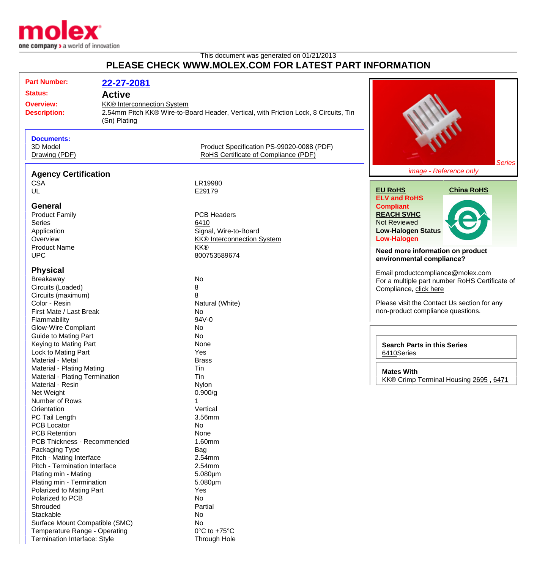

Termination Interface: Style Through Hole

## This document was generated on 01/21/2013 **PLEASE CHECK WWW.MOLEX.COM FOR LATEST PART INFORMATION**

| <b>Part Number:</b>                                                                                                                 | 22-27-2081                                                         |                                                                                                        |                                                                                                                                                                                                   |
|-------------------------------------------------------------------------------------------------------------------------------------|--------------------------------------------------------------------|--------------------------------------------------------------------------------------------------------|---------------------------------------------------------------------------------------------------------------------------------------------------------------------------------------------------|
| <b>Status:</b><br><b>Overview:</b><br><b>Description:</b>                                                                           | <b>Active</b><br><b>KK®</b> Interconnection System<br>(Sn) Plating | 2.54mm Pitch KK® Wire-to-Board Header, Vertical, with Friction Lock, 8 Circuits, Tin                   |                                                                                                                                                                                                   |
| <b>Documents:</b><br>3D Model<br>Drawing (PDF)                                                                                      |                                                                    | Product Specification PS-99020-0088 (PDF)<br>RoHS Certificate of Compliance (PDF)                      | <b>Series</b>                                                                                                                                                                                     |
| <b>Agency Certification</b>                                                                                                         |                                                                    |                                                                                                        | image - Reference only                                                                                                                                                                            |
| <b>CSA</b><br>UL                                                                                                                    |                                                                    | LR19980<br>E29179                                                                                      | <b>EU RoHS</b><br><b>China RoHS</b><br><b>ELV and RoHS</b>                                                                                                                                        |
| <b>General</b><br><b>Product Family</b><br><b>Series</b><br>Application<br>Overview<br><b>Product Name</b>                          |                                                                    | <b>PCB Headers</b><br>6410<br>Signal, Wire-to-Board<br><b>KK®</b> Interconnection System<br><b>KK®</b> | <b>Compliant</b><br><b>REACH SVHC</b><br><b>Not Reviewed</b><br><b>Low-Halogen Status</b><br><b>Low-Halogen</b><br>Need more information on product                                               |
| <b>UPC</b>                                                                                                                          |                                                                    | 800753589674                                                                                           | environmental compliance?                                                                                                                                                                         |
| <b>Physical</b><br>Breakaway<br>Circuits (Loaded)<br>Circuits (maximum)<br>Color - Resin<br>First Mate / Last Break<br>Flammability |                                                                    | No<br>8<br>8<br>Natural (White)<br>No<br>94V-0                                                         | Email productcompliance@molex.com<br>For a multiple part number RoHS Certificate of<br>Compliance, click here<br>Please visit the Contact Us section for any<br>non-product compliance questions. |
| <b>Glow-Wire Compliant</b><br><b>Guide to Mating Part</b><br>Keying to Mating Part<br>Lock to Mating Part<br>Material - Metal       |                                                                    | No<br>No<br>None<br>Yes<br><b>Brass</b>                                                                | <b>Search Parts in this Series</b><br>6410Series                                                                                                                                                  |
| Material - Plating Mating<br>Material - Plating Termination<br>Material - Resin<br>Net Weight                                       |                                                                    | Tin<br>Tin<br><b>Nylon</b><br>0.900/g                                                                  | <b>Mates With</b><br>KK® Crimp Terminal Housing 2695, 6471                                                                                                                                        |
| Number of Rows<br>Orientation<br>PC Tail Length<br>PCB Locator                                                                      |                                                                    | Vertical<br>3.56mm<br>No                                                                               |                                                                                                                                                                                                   |
| <b>PCB Retention</b><br>PCB Thickness - Recommended<br>Packaging Type<br>Pitch - Mating Interface                                   |                                                                    | None<br>1.60mm<br>Bag<br>2.54mm                                                                        |                                                                                                                                                                                                   |
| Pitch - Termination Interface<br>Plating min - Mating<br>Plating min - Termination<br>Polarized to Mating Part                      |                                                                    | 2.54mm<br>$5.080 \mu m$<br>$5.080 \mu m$<br>Yes                                                        |                                                                                                                                                                                                   |
| Polarized to PCB<br>Shrouded<br>Stackable                                                                                           |                                                                    | <b>No</b><br>Partial<br>No                                                                             |                                                                                                                                                                                                   |
| Surface Mount Compatible (SMC)<br>Temperature Range - Operating                                                                     |                                                                    | No<br>$0^{\circ}$ C to +75 $^{\circ}$ C                                                                |                                                                                                                                                                                                   |